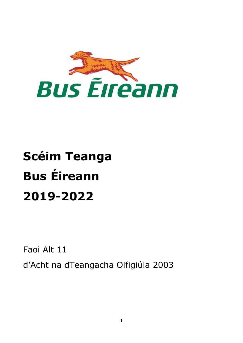

# **Scéim Teanga Bus Éireann 2019-2022**

Faoi Alt 11

d'Acht na dTeangacha Oifigiúla 2003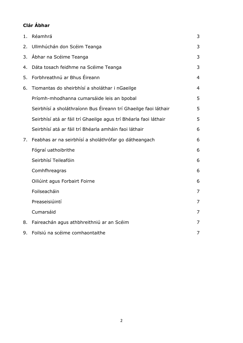## **Clár Ábhar**

| 1. | Réamhrá                                                          | 3              |
|----|------------------------------------------------------------------|----------------|
| 2. | Ullmhúchán don Scéim Teanga                                      | 3              |
| 3. | Ábhar na Scéime Teanga                                           | 3              |
| 4. | Dáta tosach feidhme na Scéime Teanga                             | 3              |
| 5. | Forbhreathnú ar Bhus Éireann                                     | $\overline{4}$ |
| 6. | Tiomantas do sheirbhísí a sholáthar i nGaeilge                   | $\overline{4}$ |
|    | Príomh-mhodhanna cumarsáide leis an bpobal                       | 5              |
|    | Seirbhísí a sholáthraíonn Bus Éireann trí Ghaeilge faoi láthair  | 5              |
|    | Seirbhísí atá ar fáil trí Ghaeilge agus trí Bhéarla faoi láthair | 5              |
|    | Seirbhísí atá ar fáil trí Bhéarla amháin faoi láthair            | 6              |
| 7. | Feabhas ar na seirbhísí a sholáthrófar go dátheangach            | 6              |
|    | Fógraí uathoibrithe                                              | 6              |
|    | Seirbhísí Teileafóin                                             | 6              |
|    | Comhfhreagras                                                    | 6              |
|    | Oiliúint agus Forbairt Foirne                                    | 6              |
|    | Foilseacháin                                                     | $\overline{7}$ |
|    | Preaseisiúintí                                                   | 7              |
|    | Cumarsáid                                                        | $\overline{7}$ |
| 8. | Faireachán agus athbhreithniú ar an Scéim                        | $\overline{7}$ |
| 9. | Foilsiú na scéime comhaontaithe                                  | 7              |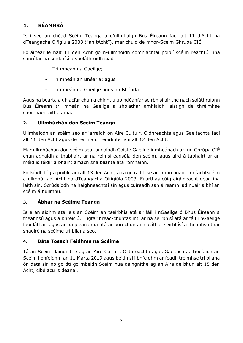## <span id="page-2-0"></span>**1. RÉAMHRÁ**

Is í seo an chéad Scéim Teanga a d'ullmhaigh Bus Éireann faoi alt 11 d'Acht na dTeangacha Oifigiúla 2003 ("an tAcht"), mar chuid de mhór-Scéim Ghrúpa CIÉ.

Foráiltear le halt 11 den Acht go n-ullmhóidh comhlachtaí poiblí scéim reachtúil ina sonrófar na seirbhísí a sholáthróidh siad

- Trí mheán na Gaeilge;
- Trí mheán an Bhéarla; agus
- Trí mheán na Gaeilge agus an Bhéarla

Agus na bearta a ghlacfar chun a chinntiú go ndéanfar seirbhísí áirithe nach soláthraíonn Bus Éireann trí mheán na Gaeilge a sholáthar amhlaidh laistigh de thréimhse chomhaontaithe ama.

## <span id="page-2-1"></span>**2. Ullmhúchán don Scéim Teanga**

Ullmhaíodh an scéim seo ar iarraidh ón Aire Cultúir, Oidhreachta agus Gaeltachta faoi alt 11 den Acht agus de réir na dTreoirlínte faoi alt 12 den Acht.

Mar ullmhúchán don scéim seo, bunaíodh Coiste Gaeilge inmheánach ar fud Ghrúpa CIÉ chun aghaidh a thabhairt ar na réimsí éagsúla den scéim, agus aird á tabhairt ar an méid is féidir a bhaint amach sna blianta atá romhainn.

Foilsíodh fógra poiblí faoi alt 13 den Acht, á rá go raibh sé ar intinn againn dréachtscéim a ullmhú faoi Acht na dTeangacha Oifigiúla 2003. Fuarthas cúig aighneacht déag ina leith sin. Scrúdaíodh na haighneachtaí sin agus cuireadh san áireamh iad nuair a bhí an scéim á hullmhú.

## <span id="page-2-2"></span>**3. Ábhar na Scéime Teanga**

Is é an aidhm atá leis an Scéim an tseirbhís atá ar fáil i nGaeilge ó Bhus Éireann a fheabhsú agus a bhreisiú. Tugtar breac-chuntas inti ar na seirbhísí atá ar fáil i nGaeilge faoi láthair agus ar na pleananna atá ar bun chun an soláthar seirbhísí a fheabhsú thar shaolré na scéime trí bliana seo.

## **4. Dáta Tosach Feidhme na Scéime**

Tá an Scéim daingnithe ag an Aire Cultúir, Oidhreachta agus Gaeltachta. Tiocfaidh an Scéim i bhfeidhm an 11 Márta 2019 agus beidh sí i bhfeidhm ar feadh tréimhse trí bliana ón dáta sin nó go dtí go mbeidh Scéim nua daingnithe ag an Aire de bhun alt 15 den Acht, cibé acu is déanaí.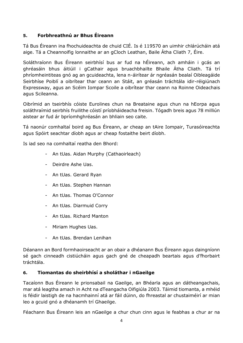## <span id="page-3-0"></span>**5. Forbhreathnú ar Bhus Éireann**

Tá Bus Éireann ina fhochuideachta de chuid CIÉ. Is é 119570 an uimhir chlárúcháin atá aige. Tá a Cheannoifig lonnaithe ar an gCloch Leathan, Baile Átha Cliath 7, Éire.

Soláthraíonn Bus Éireann seirbhísí bus ar fud na hÉireann, ach amháin i gcás an ghréasáin bhus áitiúil i gCathair agus bruachbhailte Bhaile Átha Cliath. Tá trí phríomheintiteas gnó ag an gcuideachta, lena n-áirítear ár ngréasán bealaí Oibleagáide Seirbhíse Poiblí a oibrítear thar ceann an Stáit, an gréasán tráchtála idir-réigiúnach Expressway, agus an Scéim Iompar Scoile a oibrítear thar ceann na Roinne Oideachais agus Scileanna.

Oibrímid an tseirbhís cóiste Eurolines chun na Breataine agus chun na hEorpa agus soláthraímid seirbhís fruilithe cóistí príobháideacha freisin. Tógadh breis agus 78 milliún aistear ar fud ár bpríomhghréasán an bhliain seo caite.

Tá naonúr comhaltaí boird ag Bus Éireann, ar cheap an tAire Iompair, Turasóireachta agus Spóirt seachtar díobh agus ar cheap fostaithe beirt díobh.

Is iad seo na comhaltaí reatha den Bhord:

- An tUas. Aidan Murphy (Cathaoirleach)
- Deirdre Ashe Uas.
- An tUas. Gerard Ryan
- An tUas. Stephen Hannan
- An tUas. Thomas O'Connor
- An tUas. Diarmuid Corry
- An tUas. Richard Manton
- Miriam Hughes Uas.
- An tUas. Brendan Lenihan

Déanann an Bord formhaoirseacht ar an obair a dhéanann Bus Éireann agus daingníonn sé gach cinneadh cistiúcháin agus gach gné de cheapadh beartais agus d'fhorbairt tráchtála.

## <span id="page-3-1"></span>**6. Tiomantas do sheirbhísí a sholáthar i nGaeilge**

Tacaíonn Bus Éireann le prionsabail na Gaeilge, an Bhéarla agus an dátheangachais, mar atá leagtha amach in Acht na dTeangacha Oifigiúla 2003. Táimid tiomanta, a mhéid is féidir laistigh de na hacmhainní atá ar fáil dúinn, do fhreastal ar chustaiméirí ar mian leo a gcuid gnó a dhéanamh trí Ghaeilge.

Féachann Bus Éireann leis an nGaeilge a chur chun cinn agus le feabhas a chur ar na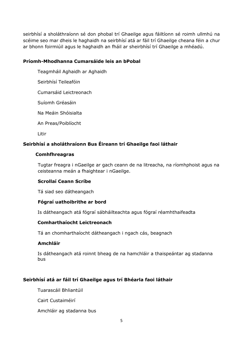seirbhísí a sholáthraíonn sé don phobal trí Ghaeilge agus fáiltíonn sé roimh ullmhú na scéime seo mar dheis le haghaidh na seirbhísí atá ar fáil trí Ghaeilge cheana féin a chur ar bhonn foirmiúil agus le haghaidh an fháil ar sheirbhísí trí Ghaeilge a mhéadú.

## <span id="page-4-0"></span>**Príomh-Mhodhanna Cumarsáide leis an bPobal**

Teagmháil Aghaidh ar Aghaidh

Seirbhísí Teileafóin

Cumarsáid Leictreonach

Suíomh Gréasáin

Na Meáin Shóisialta

An Preas/Poiblíocht

Litir

## **Seirbhísí a sholáthraíonn Bus Éireann trí Ghaeilge faoi láthair**

## **Comhfhreagras**

Tugtar freagra i nGaeilge ar gach ceann de na litreacha, na ríomhphoist agus na ceisteanna meán a fhaightear i nGaeilge.

## **Scrollaí Ceann Scríbe**

Tá siad seo dátheangach

## **Fógraí uathoibrithe ar bord**

Is dátheangach atá fógraí sábháilteachta agus fógraí réamhthaifeadta

## **Comharthaíocht Leictreonach**

Tá an chomharthaíocht dátheangach i ngach cás, beagnach

## **Amchláir**

Is dátheangach atá roinnt bheag de na hamchláir a thaispeántar ag stadanna bus

## <span id="page-4-1"></span>**Seirbhísí atá ar fáil trí Ghaeilge agus trí Bhéarla faoi láthair**

Tuarascáil Bhliantúil

Cairt Custaiméirí

Amchláir ag stadanna bus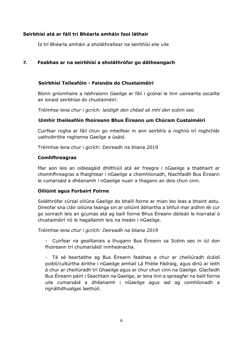## <span id="page-5-0"></span>**Seirbhísí atá ar fáil trí Bhéarla amháin faoi láthair**

Is trí Bhéarla amháin a sholáthraítear na seirbhísí eile uile

## <span id="page-5-1"></span>**7. Feabhas ar na seirbhísí a sholáthrófar go dátheangach**

## **Seirbhísí Teileafóin - Faisnéis do Chustaiméirí**

Bíonn gníomhaire a labhraíonn Gaeilge ar fáil i gcónaí le linn uaireanta oscailte an ionaid seirbhíse do chustaiméirí.

*Tréimhse lena chur i gcrích: laistigh den chéad sé mhí den scéim seo*

## **Uimhir theileafóin fhoireann Bhus Éireann um Chúram Custaiméirí**

Cuirfear rogha ar fáil chun go mbeifear in ann seirbhís a roghnú trí roghchlár uathoibrithe roghanna Gaeilge a úsáid.

Tréimhse lena chur i gcrích: Deireadh na bliana 2019

#### <span id="page-5-2"></span>**Comhfhreagras**

Mar aon leis an oibleagáid dhlíthiúil atá air freagra i nGaeilge a thabhairt ar chomhfhreagras a fhaightear i nGaeilge a chomhlíonadh, féachfaidh Bus Éireann le cumarsáid a dhéanamh i nGaeilge nuair a thagann an deis chun cinn.

## <span id="page-5-3"></span>**Oiliúint agus Forbairt Foirne**

Soláthrófar cúrsaí oiliúna Gaeilge do bhaill foirne ar mian leo leas a bhaint astu. Díreofar sna cláir oiliúna teanga sin ar oiliúint ábhartha a bhfuil mar aidhm léi cur go sonrach leis an gcumas atá ag baill foirne Bhus Éireann déileáil le hiarrataí ó chustaiméirí nó le hagallaimh leis na meáin i nGaeilge.

*Tréimhse lena chur i gcrích: Deireadh na bliana 2019*

- Cuirfear na gealltanais a thugann Bus Éireann sa Scéim seo in iúl don fhoireann trí chumarsáidí inmheánacha.

- Tá sé beartaithe ag Bus Éireann feabhas a chur ar cheiliúradh ócáidí poiblí/cultúrtha áirithe i nGaeilge amhail Lá Fhéile Pádraig, agus díriú ar leith á chur ar cheiliúradh trí Ghaeilge agus ar chur chun cinn na Gaeilge. Glacfaidh Bus Éireann páirt i Seachtain na Gaeilge, ar lena linn a spreagfar na baill foirne uile cumarsáid a dhéanamh i nGaeilge agus iad ag comhlíonadh a ngnáthdhualgas laethúil.